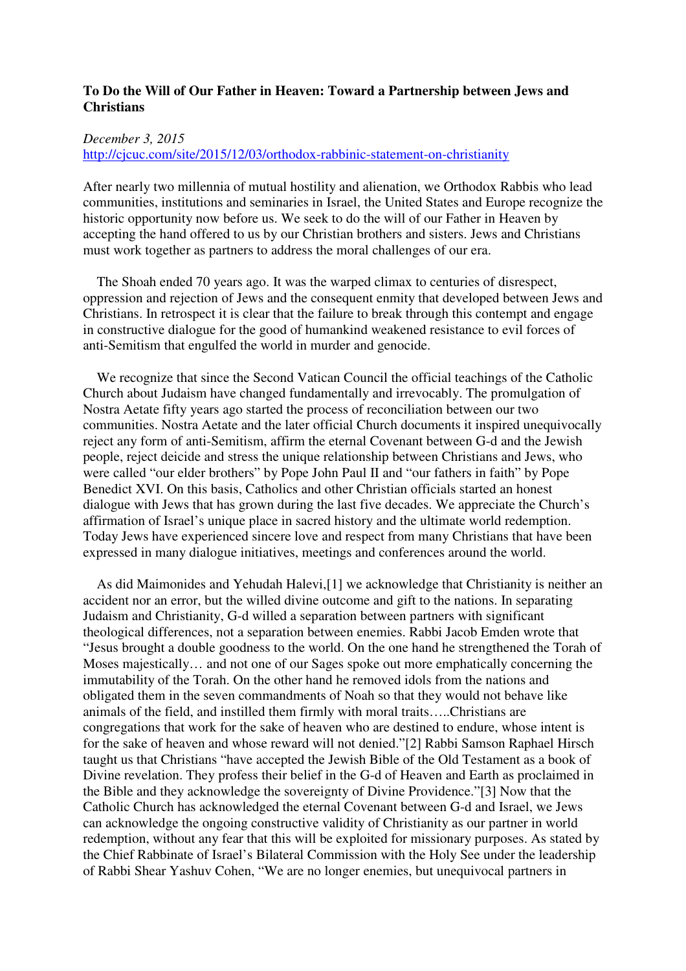## **To Do the Will of Our Father in Heaven: Toward a Partnership between Jews and Christians**

## *December 3, 2015*

http://cjcuc.com/site/2015/12/03/orthodox-rabbinic-statement-on-christianity

After nearly two millennia of mutual hostility and alienation, we Orthodox Rabbis who lead communities, institutions and seminaries in Israel, the United States and Europe recognize the historic opportunity now before us. We seek to do the will of our Father in Heaven by accepting the hand offered to us by our Christian brothers and sisters. Jews and Christians must work together as partners to address the moral challenges of our era.

 The Shoah ended 70 years ago. It was the warped climax to centuries of disrespect, oppression and rejection of Jews and the consequent enmity that developed between Jews and Christians. In retrospect it is clear that the failure to break through this contempt and engage in constructive dialogue for the good of humankind weakened resistance to evil forces of anti-Semitism that engulfed the world in murder and genocide.

 We recognize that since the Second Vatican Council the official teachings of the Catholic Church about Judaism have changed fundamentally and irrevocably. The promulgation of Nostra Aetate fifty years ago started the process of reconciliation between our two communities. Nostra Aetate and the later official Church documents it inspired unequivocally reject any form of anti-Semitism, affirm the eternal Covenant between G-d and the Jewish people, reject deicide and stress the unique relationship between Christians and Jews, who were called "our elder brothers" by Pope John Paul II and "our fathers in faith" by Pope Benedict XVI. On this basis, Catholics and other Christian officials started an honest dialogue with Jews that has grown during the last five decades. We appreciate the Church's affirmation of Israel's unique place in sacred history and the ultimate world redemption. Today Jews have experienced sincere love and respect from many Christians that have been expressed in many dialogue initiatives, meetings and conferences around the world.

 As did Maimonides and Yehudah Halevi,[1] we acknowledge that Christianity is neither an accident nor an error, but the willed divine outcome and gift to the nations. In separating Judaism and Christianity, G-d willed a separation between partners with significant theological differences, not a separation between enemies. Rabbi Jacob Emden wrote that "Jesus brought a double goodness to the world. On the one hand he strengthened the Torah of Moses majestically… and not one of our Sages spoke out more emphatically concerning the immutability of the Torah. On the other hand he removed idols from the nations and obligated them in the seven commandments of Noah so that they would not behave like animals of the field, and instilled them firmly with moral traits…..Christians are congregations that work for the sake of heaven who are destined to endure, whose intent is for the sake of heaven and whose reward will not denied."[2] Rabbi Samson Raphael Hirsch taught us that Christians "have accepted the Jewish Bible of the Old Testament as a book of Divine revelation. They profess their belief in the G-d of Heaven and Earth as proclaimed in the Bible and they acknowledge the sovereignty of Divine Providence."[3] Now that the Catholic Church has acknowledged the eternal Covenant between G-d and Israel, we Jews can acknowledge the ongoing constructive validity of Christianity as our partner in world redemption, without any fear that this will be exploited for missionary purposes. As stated by the Chief Rabbinate of Israel's Bilateral Commission with the Holy See under the leadership of Rabbi Shear Yashuv Cohen, "We are no longer enemies, but unequivocal partners in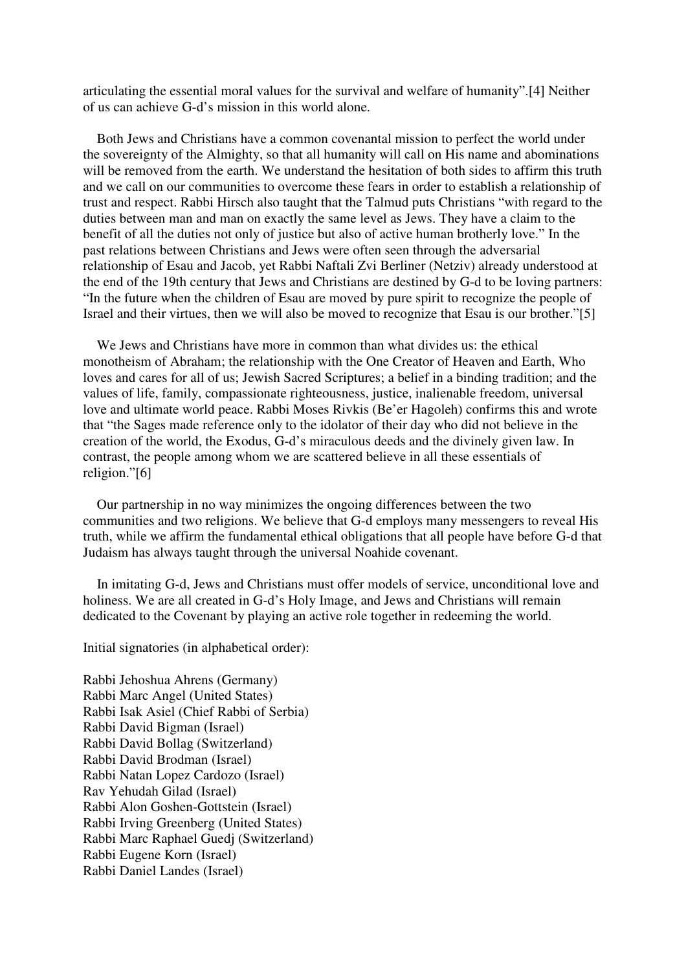articulating the essential moral values for the survival and welfare of humanity".[4] Neither of us can achieve G-d's mission in this world alone.

 Both Jews and Christians have a common covenantal mission to perfect the world under the sovereignty of the Almighty, so that all humanity will call on His name and abominations will be removed from the earth. We understand the hesitation of both sides to affirm this truth and we call on our communities to overcome these fears in order to establish a relationship of trust and respect. Rabbi Hirsch also taught that the Talmud puts Christians "with regard to the duties between man and man on exactly the same level as Jews. They have a claim to the benefit of all the duties not only of justice but also of active human brotherly love." In the past relations between Christians and Jews were often seen through the adversarial relationship of Esau and Jacob, yet Rabbi Naftali Zvi Berliner (Netziv) already understood at the end of the 19th century that Jews and Christians are destined by G-d to be loving partners: "In the future when the children of Esau are moved by pure spirit to recognize the people of Israel and their virtues, then we will also be moved to recognize that Esau is our brother."[5]

 We Jews and Christians have more in common than what divides us: the ethical monotheism of Abraham; the relationship with the One Creator of Heaven and Earth, Who loves and cares for all of us; Jewish Sacred Scriptures; a belief in a binding tradition; and the values of life, family, compassionate righteousness, justice, inalienable freedom, universal love and ultimate world peace. Rabbi Moses Rivkis (Be'er Hagoleh) confirms this and wrote that "the Sages made reference only to the idolator of their day who did not believe in the creation of the world, the Exodus, G-d's miraculous deeds and the divinely given law. In contrast, the people among whom we are scattered believe in all these essentials of religion."[6]

 Our partnership in no way minimizes the ongoing differences between the two communities and two religions. We believe that G-d employs many messengers to reveal His truth, while we affirm the fundamental ethical obligations that all people have before G-d that Judaism has always taught through the universal Noahide covenant.

 In imitating G-d, Jews and Christians must offer models of service, unconditional love and holiness. We are all created in G-d's Holy Image, and Jews and Christians will remain dedicated to the Covenant by playing an active role together in redeeming the world.

Initial signatories (in alphabetical order):

Rabbi Jehoshua Ahrens (Germany) Rabbi Marc Angel (United States) Rabbi Isak Asiel (Chief Rabbi of Serbia) Rabbi David Bigman (Israel) Rabbi David Bollag (Switzerland) Rabbi David Brodman (Israel) Rabbi Natan Lopez Cardozo (Israel) Rav Yehudah Gilad (Israel) Rabbi Alon Goshen-Gottstein (Israel) Rabbi Irving Greenberg (United States) Rabbi Marc Raphael Guedj (Switzerland) Rabbi Eugene Korn (Israel) Rabbi Daniel Landes (Israel)